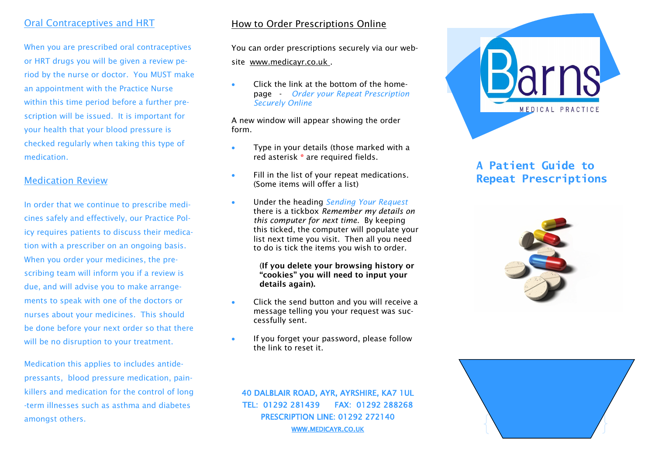## Oral Contraceptives and HRT

When you are prescribed oral contraceptives or HRT drugs you will be given a review period by the nurse or doctor. You MUST make an appointment with the Practice Nurse within this time period before a further prescription will be issued. It is important for your health that your blood pressure is checked regularly when taking this type of medication.

## Medication Review

In order that we continue to prescribe medicines safely and effectively, our Practice Policy requires patients to discuss their medication with a prescriber on an ongoing basis. When you order your medicines, the prescribing team will inform you if a review is due, and will advise you to make arrangements to speak with one of the doctors or nurses about your medicines. This should be done before your next order so that there will be no disruption to your treatment.

Medication this applies to includes antidepressants, blood pressure medication, painkillers and medication for the control of long -term illnesses such as asthma and diabetes amongst others.

## How to Order Prescriptions Online

You can order prescriptions securely via our website www.medicayr.co.uk .

 Click the link at the bottom of the homepage - *Order your Repeat Prescription Securely Online*

A new window will appear showing the order form.

- Type in your details (those marked with a red asterisk **\*** are required fields.
- Fill in the list of your repeat medications. (Some items will offer a list)
- Under the heading *Sending Your Request*  there is a tickbox *Remember my details on this computer for next time*. By keeping this ticked, the computer will populate your list next time you visit. Then all you need to do is tick the items you wish to order.

#### (**If you delete your browsing history or "cookies" you will need to input your details again).**

- Click the send button and you will receive a message telling you your request was successfully sent.
- **If you forget your password, please follow** the link to reset it.

40 DALBLAIR ROAD, AYR, AYRSHIRE, KA7 1UL

TEL: 01292 281439 FAX: 01292 288268 PRESCRIPTION LINE: 01292 272140 WWW.[MEDICAYR](http://www.medicayr.co.uk/).CO.UK



# **A Patient Guide to Repeat Prescriptions**